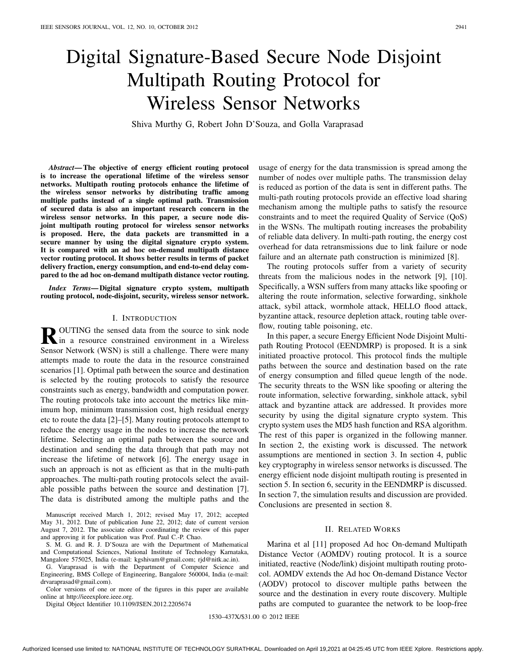# Digital Signature-Based Secure Node Disjoint Multipath Routing Protocol for Wireless Sensor Networks

Shiva Murthy G, Robert John D'Souza, and Golla Varaprasad

*Abstract***— The objective of energy efficient routing protocol is to increase the operational lifetime of the wireless sensor networks. Multipath routing protocols enhance the lifetime of the wireless sensor networks by distributing traffic among multiple paths instead of a single optimal path. Transmission of secured data is also an important research concern in the wireless sensor networks. In this paper, a secure node disjoint multipath routing protocol for wireless sensor networks is proposed. Here, the data packets are transmitted in a secure manner by using the digital signature crypto system. It is compared with an ad hoc on-demand multipath distance vector routing protocol. It shows better results in terms of packet delivery fraction, energy consumption, and end-to-end delay compared to the ad hoc on-demand multipath distance vector routing.**

*Index Terms***— Digital signature crypto system, multipath routing protocol, node-disjoint, security, wireless sensor network.**

## I. INTRODUCTION

**R**OUTING the sensed data from the source to sink node<br>Sense Metrod (WGN) is will added a Theory Theory Sensor Network (WSN) is still a challenge. There were many attempts made to route the data in the resource constrained scenarios [1]. Optimal path between the source and destination is selected by the routing protocols to satisfy the resource constraints such as energy, bandwidth and computation power. The routing protocols take into account the metrics like minimum hop, minimum transmission cost, high residual energy etc to route the data [2]–[5]. Many routing protocols attempt to reduce the energy usage in the nodes to increase the network lifetime. Selecting an optimal path between the source and destination and sending the data through that path may not increase the lifetime of network [6]. The energy usage in such an approach is not as efficient as that in the multi-path approaches. The multi-path routing protocols select the available possible paths between the source and destination [7]. The data is distributed among the multiple paths and the

Manuscript received March 1, 2012; revised May 17, 2012; accepted May 31, 2012. Date of publication June 22, 2012; date of current version August 7, 2012. The associate editor coordinating the review of this paper and approving it for publication was Prof. Paul C.-P. Chao.

S. M. G. and R. J. D'Souza are with the Department of Mathematical and Computational Sciences, National Institute of Technology Karnataka, Mangalore 575025, India (e-mail: kgshivam@gmail.com; rjd@nitk.ac.in).

G. Varaprasad is with the Department of Computer Science and Engineering, BMS College of Engineering, Bangalore 560004, India (e-mail: drvaraprasad@gmail.com).

Color versions of one or more of the figures in this paper are available online at http://ieeexplore.ieee.org.

Digital Object Identifier 10.1109/JSEN.2012.2205674

usage of energy for the data transmission is spread among the number of nodes over multiple paths. The transmission delay is reduced as portion of the data is sent in different paths. The multi-path routing protocols provide an effective load sharing mechanism among the multiple paths to satisfy the resource constraints and to meet the required Quality of Service (QoS) in the WSNs. The multipath routing increases the probability of reliable data delivery. In multi-path routing, the energy cost overhead for data retransmissions due to link failure or node failure and an alternate path construction is minimized [8].

The routing protocols suffer from a variety of security threats from the malicious nodes in the network [9], [10]. Specifically, a WSN suffers from many attacks like spoofing or altering the route information, selective forwarding, sinkhole attack, sybil attack, wormhole attack, HELLO flood attack, byzantine attack, resource depletion attack, routing table overflow, routing table poisoning, etc.

In this paper, a secure Energy Efficient Node Disjoint Multipath Routing Protocol (EENDMRP) is proposed. It is a sink initiated proactive protocol. This protocol finds the multiple paths between the source and destination based on the rate of energy consumption and filled queue length of the node. The security threats to the WSN like spoofing or altering the route information, selective forwarding, sinkhole attack, sybil attack and byzantine attack are addressed. It provides more security by using the digital signature crypto system. This crypto system uses the MD5 hash function and RSA algorithm. The rest of this paper is organized in the following manner. In section 2, the existing work is discussed. The network assumptions are mentioned in section 3. In section 4, public key cryptography in wireless sensor networks is discussed. The energy efficient node disjoint multipath routing is presented in section 5. In section 6, security in the EENDMRP is discussed. In section 7, the simulation results and discussion are provided. Conclusions are presented in section 8.

## II. RELATED WORKS

Marina et al [11] proposed Ad hoc On-demand Multipath Distance Vector (AOMDV) routing protocol. It is a source initiated, reactive (Node/link) disjoint multipath routing protocol. AOMDV extends the Ad hoc On-demand Distance Vector (AODV) protocol to discover multiple paths between the source and the destination in every route discovery. Multiple paths are computed to guarantee the network to be loop-free

1530–437X/\$31.00 © 2012 IEEE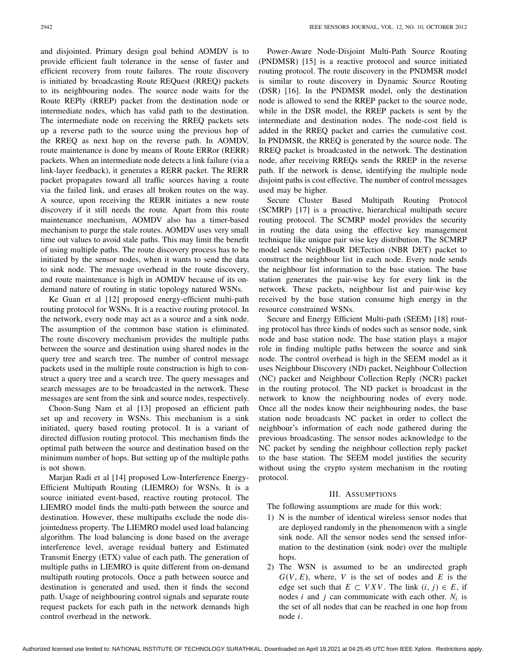and disjointed. Primary design goal behind AOMDV is to provide efficient fault tolerance in the sense of faster and efficient recovery from route failures. The route discovery is initiated by broadcasting Route REQuest (RREQ) packets to its neighbouring nodes. The source node waits for the Route REPly (RREP) packet from the destination node or intermediate nodes, which has valid path to the destination. The intermediate node on receiving the RREQ packets sets up a reverse path to the source using the previous hop of the RREQ as next hop on the reverse path. In AOMDV, route maintenance is done by means of Route ERRor (RERR) packets. When an intermediate node detects a link failure (via a link-layer feedback), it generates a RERR packet. The RERR packet propagates toward all traffic sources having a route via the failed link, and erases all broken routes on the way. A source, upon receiving the RERR initiates a new route discovery if it still needs the route. Apart from this route maintenance mechanism, AOMDV also has a timer-based mechanism to purge the stale routes. AOMDV uses very small time out values to avoid stale paths. This may limit the benefit of using multiple paths. The route discovery process has to be initiated by the sensor nodes, when it wants to send the data to sink node. The message overhead in the route discovery, and route maintenance is high in AOMDV because of its ondemand nature of routing in static topology natured WSNs.

Ke Guan et al [12] proposed energy-efficient multi-path routing protocol for WSNs. It is a reactive routing protocol. In the network, every node may act as a source and a sink node. The assumption of the common base station is eliminated. The route discovery mechanism provides the multiple paths between the source and destination using shared nodes in the query tree and search tree. The number of control message packets used in the multiple route construction is high to construct a query tree and a search tree. The query messages and search messages are to be broadcasted in the network. These messages are sent from the sink and source nodes, respectively.

Choon-Sung Nam et al [13] proposed an efficient path set up and recovery in WSNs. This mechanism is a sink initiated, query based routing protocol. It is a variant of directed diffusion routing protocol. This mechanism finds the optimal path between the source and destination based on the minimum number of hops. But setting up of the multiple paths is not shown.

Marjan Radi et al [14] proposed Low-Interference Energy-Efficient Multipath Routing (LIEMRO) for WSNs. It is a source initiated event-based, reactive routing protocol. The LIEMRO model finds the multi-path between the source and destination. However, these multipaths exclude the node disjointedness property. The LIEMRO model used load balancing algorithm. The load balancing is done based on the average interference level, average residual battery and Estimated Transmit Energy (ETX) value of each path. The generation of multiple paths in LIEMRO is quite different from on-demand multipath routing protocols. Once a path between source and destination is generated and used, then it finds the second path. Usage of neighbouring control signals and separate route request packets for each path in the network demands high control overhead in the network.

Power-Aware Node-Disjoint Multi-Path Source Routing (PNDMSR) [15] is a reactive protocol and source initiated routing protocol. The route discovery in the PNDMSR model is similar to route discovery in Dynamic Source Routing (DSR) [16]. In the PNDMSR model, only the destination node is allowed to send the RREP packet to the source node, while in the DSR model, the RREP packets is sent by the intermediate and destination nodes. The node-cost field is added in the RREQ packet and carries the cumulative cost. In PNDMSR, the RREQ is generated by the source node. The RREQ packet is broadcasted in the network. The destination node, after receiving RREQs sends the RREP in the reverse path. If the network is dense, identifying the multiple node disjoint paths is cost effective. The number of control messages used may be higher.

Secure Cluster Based Multipath Routing Protocol (SCMRP) [17] is a proactive, hierarchical multipath secure routing protocol. The SCMRP model provides the security in routing the data using the effective key management technique like unique pair wise key distribution. The SCMRP model sends NeighBouR DETection (NBR DET) packet to construct the neighbour list in each node. Every node sends the neighbour list information to the base station. The base station generates the pair-wise key for every link in the network. These packets, neighbour list and pair-wise key received by the base station consume high energy in the resource constrained WSNs.

Secure and Energy Efficient Multi-path (SEEM) [18] routing protocol has three kinds of nodes such as sensor node, sink node and base station node. The base station plays a major role in finding multiple paths between the source and sink node. The control overhead is high in the SEEM model as it uses Neighbour Discovery (ND) packet, Neighbour Collection (NC) packet and Neighbour Collection Reply (NCR) packet in the routing protocol. The ND packet is broadcast in the network to know the neighbouring nodes of every node. Once all the nodes know their neighbouring nodes, the base station node broadcasts NC packet in order to collect the neighbour's information of each node gathered during the previous broadcasting. The sensor nodes acknowledge to the NC packet by sending the neighbour collection reply packet to the base station. The SEEM model justifies the security without using the crypto system mechanism in the routing protocol.

## III. ASSUMPTIONS

The following assumptions are made for this work:

- 1) N is the number of identical wireless sensor nodes that are deployed randomly in the phenomenon with a single sink node. All the sensor nodes send the sensed information to the destination (sink node) over the multiple hops.
- 2) The WSN is assumed to be an undirected graph  $G(V, E)$ , where, *V* is the set of nodes and *E* is the edge set such that  $E \subset V X V$ . The link  $(i, j) \in E$ , if nodes *i* and *j* can communicate with each other.  $N_i$  is the set of all nodes that can be reached in one hop from node *i*.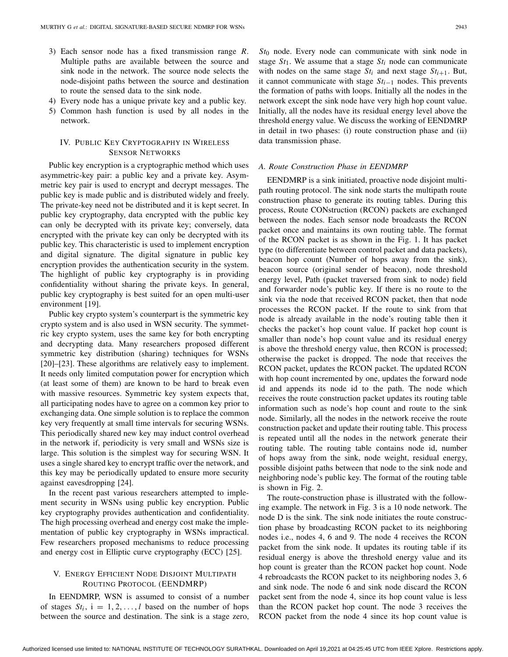- 3) Each sensor node has a fixed transmission range *R*. Multiple paths are available between the source and sink node in the network. The source node selects the node-disjoint paths between the source and destination to route the sensed data to the sink node.
- 4) Every node has a unique private key and a public key.
- 5) Common hash function is used by all nodes in the network.

# IV. PUBLIC KEY CRYPTOGRAPHY IN WIRELESS SENSOR NETWORKS

Public key encryption is a cryptographic method which uses asymmetric-key pair: a public key and a private key. Asymmetric key pair is used to encrypt and decrypt messages. The public key is made public and is distributed widely and freely. The private-key need not be distributed and it is kept secret. In public key cryptography, data encrypted with the public key can only be decrypted with its private key; conversely, data encrypted with the private key can only be decrypted with its public key. This characteristic is used to implement encryption and digital signature. The digital signature in public key encryption provides the authentication security in the system. The highlight of public key cryptography is in providing confidentiality without sharing the private keys. In general, public key cryptography is best suited for an open multi-user environment [19].

Public key crypto system's counterpart is the symmetric key crypto system and is also used in WSN security. The symmetric key crypto system, uses the same key for both encrypting and decrypting data. Many researchers proposed different symmetric key distribution (sharing) techniques for WSNs [20]–[23]. These algorithms are relatively easy to implement. It needs only limited computation power for encryption which (at least some of them) are known to be hard to break even with massive resources. Symmetric key system expects that, all participating nodes have to agree on a common key prior to exchanging data. One simple solution is to replace the common key very frequently at small time intervals for securing WSNs. This periodically shared new key may induct control overhead in the network if, periodicity is very small and WSNs size is large. This solution is the simplest way for securing WSN. It uses a single shared key to encrypt traffic over the network, and this key may be periodically updated to ensure more security against eavesdropping [24].

In the recent past various researchers attempted to implement security in WSNs using public key encryption. Public key cryptography provides authentication and confidentiality. The high processing overhead and energy cost make the implementation of public key cryptography in WSNs impractical. Few researchers proposed mechanisms to reduce processing and energy cost in Elliptic curve cryptography (ECC) [25].

# V. ENERGY EFFICIENT NODE DISJOINT MULTIPATH ROUTING PROTOCOL (EENDMRP)

In EENDMRP, WSN is assumed to consist of a number of stages  $St_i$ ,  $i = 1, 2, ..., l$  based on the number of hops between the source and destination. The sink is a stage zero, *St*<sup>0</sup> node. Every node can communicate with sink node in stage  $St_1$ . We assume that a stage  $St_i$  node can communicate with nodes on the same stage  $St_i$  and next stage  $St_{i+1}$ . But, it cannot communicate with stage *Sti*<sup>−</sup><sup>1</sup> nodes. This prevents the formation of paths with loops. Initially all the nodes in the network except the sink node have very high hop count value. Initially, all the nodes have its residual energy level above the threshold energy value. We discuss the working of EENDMRP in detail in two phases: (i) route construction phase and (ii) data transmission phase.

## *A. Route Construction Phase in EENDMRP*

EENDMRP is a sink initiated, proactive node disjoint multipath routing protocol. The sink node starts the multipath route construction phase to generate its routing tables. During this process, Route CONstruction (RCON) packets are exchanged between the nodes. Each sensor node broadcasts the RCON packet once and maintains its own routing table. The format of the RCON packet is as shown in the Fig. 1. It has packet type (to differentiate between control packet and data packets), beacon hop count (Number of hops away from the sink), beacon source (original sender of beacon), node threshold energy level, Path (packet traversed from sink to node) field and forwarder node's public key. If there is no route to the sink via the node that received RCON packet, then that node processes the RCON packet. If the route to sink from that node is already available in the node's routing table then it checks the packet's hop count value. If packet hop count is smaller than node's hop count value and its residual energy is above the threshold energy value, then RCON is processed; otherwise the packet is dropped. The node that receives the RCON packet, updates the RCON packet. The updated RCON with hop count incremented by one, updates the forward node id and appends its node id to the path. The node which receives the route construction packet updates its routing table information such as node's hop count and route to the sink node. Similarly, all the nodes in the network receive the route construction packet and update their routing table. This process is repeated until all the nodes in the network generate their routing table. The routing table contains node id, number of hops away from the sink, node weight, residual energy, possible disjoint paths between that node to the sink node and neighboring node's public key. The format of the routing table is shown in Fig. 2.

The route-construction phase is illustrated with the following example. The network in Fig. 3 is a 10 node network. The node D is the sink. The sink node initiates the route construction phase by broadcasting RCON packet to its neighboring nodes i.e., nodes 4, 6 and 9. The node 4 receives the RCON packet from the sink node. It updates its routing table if its residual energy is above the threshold energy value and its hop count is greater than the RCON packet hop count. Node 4 rebroadcasts the RCON packet to its neighboring nodes 3, 6 and sink node. The node 6 and sink node discard the RCON packet sent from the node 4, since its hop count value is less than the RCON packet hop count. The node 3 receives the RCON packet from the node 4 since its hop count value is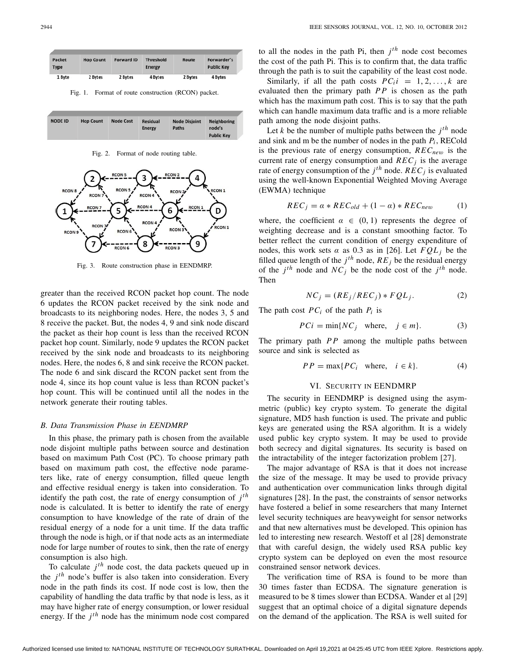| Packet<br><b>Type</b> | <b>Hop Count</b> | <b>Forward ID</b> | <b>Threshold</b><br><b>Energy</b> | Route   | Forwarder's<br><b>Public Kev</b> |
|-----------------------|------------------|-------------------|-----------------------------------|---------|----------------------------------|
| 1 Byte                | 2 Bytes          | 2 Bytes           | 4 Bytes                           | 2 Bytes | 4 Bytes                          |

Fig. 1. Format of route construction (RCON) packet.

| <b>NODE ID</b> | <b>Hop Count</b> | <b>Node Cost</b> | <b>Residual</b><br><b>Energy</b> | <b>Node Disjoint</b><br>Paths | <b>Neighboring</b><br>node's |
|----------------|------------------|------------------|----------------------------------|-------------------------------|------------------------------|
|                |                  |                  |                                  |                               | <b>Public Key</b>            |

Fig. 2. Format of node routing table.



Fig. 3. Route construction phase in EENDMRP.

greater than the received RCON packet hop count. The node 6 updates the RCON packet received by the sink node and broadcasts to its neighboring nodes. Here, the nodes 3, 5 and 8 receive the packet. But, the nodes 4, 9 and sink node discard the packet as their hop count is less than the received RCON packet hop count. Similarly, node 9 updates the RCON packet received by the sink node and broadcasts to its neighboring nodes. Here, the nodes 6, 8 and sink receive the RCON packet. The node 6 and sink discard the RCON packet sent from the node 4, since its hop count value is less than RCON packet's hop count. This will be continued until all the nodes in the network generate their routing tables.

## *B. Data Transmission Phase in EENDMRP*

In this phase, the primary path is chosen from the available node disjoint multiple paths between source and destination based on maximum Path Cost (PC). To choose primary path based on maximum path cost, the effective node parameters like, rate of energy consumption, filled queue length and effective residual energy is taken into consideration. To identify the path cost, the rate of energy consumption of *jth* node is calculated. It is better to identify the rate of energy consumption to have knowledge of the rate of drain of the residual energy of a node for a unit time. If the data traffic through the node is high, or if that node acts as an intermediate node for large number of routes to sink, then the rate of energy consumption is also high.

To calculate *jth* node cost, the data packets queued up in the  $j<sup>th</sup>$  node's buffer is also taken into consideration. Every node in the path finds its cost. If node cost is low, then the capability of handling the data traffic by that node is less, as it may have higher rate of energy consumption, or lower residual energy. If the  $j<sup>th</sup>$  node has the minimum node cost compared to all the nodes in the path Pi, then  $j<sup>th</sup>$  node cost becomes the cost of the path Pi. This is to confirm that, the data traffic through the path is to suit the capability of the least cost node.

Similarly, if all the path costs  $PC_i$  *i* = 1, 2, ..., *k* are evaluated then the primary path *PP* is chosen as the path which has the maximum path cost. This is to say that the path which can handle maximum data traffic and is a more reliable path among the node disjoint paths.

Let *k* be the number of multiple paths between the  $j<sup>th</sup>$  node and sink and m be the number of nodes in the path  $P_i$ , RECold is the previous rate of energy consumption, *RECne*<sup>w</sup> is the current rate of energy consumption and  $REC<sub>j</sub>$  is the average rate of energy consumption of the  $j<sup>th</sup>$  node.  $REC_j$  is evaluated using the well-known Exponential Weighted Moving Average (EWMA) technique

$$
REC_j = \alpha * REC_{old} + (1 - \alpha) * REC_{new} \tag{1}
$$

where, the coefficient  $\alpha \in (0, 1)$  represents the degree of weighting decrease and is a constant smoothing factor. To better reflect the current condition of energy expenditure of nodes, this work sets  $\alpha$  as 0.3 as in [26]. Let  $FQL_i$  be the filled queue length of the  $j^{th}$  node,  $RE_j$  be the residual energy of the  $j^{th}$  node and  $NC_j$  be the node cost of the  $j^{th}$  node. Then

$$
NC_j = (RE_j/REC_j) * FQL_j.
$$
 (2)

The path cost  $PC_i$  of the path  $P_i$  is

$$
PCi = \min\{NC_j \text{ where, } j \in m\}. \tag{3}
$$

The primary path *PP* among the multiple paths between source and sink is selected as

$$
PP = \max\{PC_i \text{ where, } i \in k\}. \tag{4}
$$

## VI. SECURITY IN EENDMRP

The security in EENDMRP is designed using the asymmetric (public) key crypto system. To generate the digital signature, MD5 hash function is used. The private and public keys are generated using the RSA algorithm. It is a widely used public key crypto system. It may be used to provide both secrecy and digital signatures. Its security is based on the intractability of the integer factorization problem [27].

The major advantage of RSA is that it does not increase the size of the message. It may be used to provide privacy and authentication over communication links through digital signatures [28]. In the past, the constraints of sensor networks have fostered a belief in some researchers that many Internet level security techniques are heavyweight for sensor networks and that new alternatives must be developed. This opinion has led to interesting new research. Westoff et al [28] demonstrate that with careful design, the widely used RSA public key crypto system can be deployed on even the most resource constrained sensor network devices.

The verification time of RSA is found to be more than 30 times faster than ECDSA. The signature generation is measured to be 8 times slower than ECDSA. Wander et al [29] suggest that an optimal choice of a digital signature depends on the demand of the application. The RSA is well suited for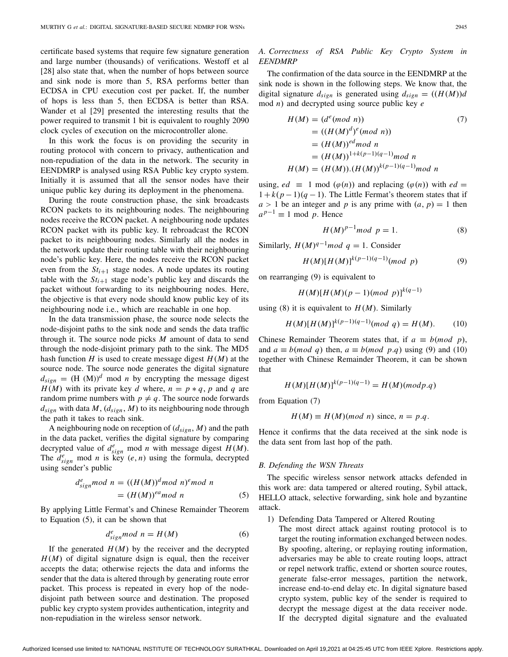certificate based systems that require few signature generation and large number (thousands) of verifications. Westoff et al [28] also state that, when the number of hops between source and sink node is more than 5, RSA performs better than ECDSA in CPU execution cost per packet. If, the number of hops is less than 5, then ECDSA is better than RSA. Wander et al [29] presented the interesting results that the power required to transmit 1 bit is equivalent to roughly 2090 clock cycles of execution on the microcontroller alone.

In this work the focus is on providing the security in routing protocol with concern to privacy, authentication and non-repudiation of the data in the network. The security in EENDMRP is analysed using RSA Public key crypto system. Initially it is assumed that all the sensor nodes have their unique public key during its deployment in the phenomena.

During the route construction phase, the sink broadcasts RCON packets to its neighbouring nodes. The neighbouring nodes receive the RCON packet. A neighbouring node updates RCON packet with its public key. It rebroadcast the RCON packet to its neighbouring nodes. Similarly all the nodes in the network update their routing table with their neighbouring node's public key. Here, the nodes receive the RCON packet even from the  $St_{i+1}$  stage nodes. A node updates its routing table with the  $St_{i+1}$  stage node's public key and discards the packet without forwarding to its neighbouring nodes. Here, the objective is that every node should know public key of its neighbouring node i.e., which are reachable in one hop.

In the data transmission phase, the source node selects the node-disjoint paths to the sink node and sends the data traffic through it. The source node picks *M* amount of data to send through the node-disjoint primary path to the sink. The MD5 hash function *H* is used to create message digest  $H(M)$  at the source node. The source node generates the digital signature  $d_{sign} = (H (M))^d$  mod *n* by encrypting the message digest *H*(*M*) with its private key *d* where,  $n = p * q$ , *p* and *q* are random prime numbers with  $p \neq q$ . The source node forwards *dsign* with data *M*, (*dsign*, *M*) to its neighbouring node through the path it takes to reach sink.

A neighbouring node on reception of (*dsign*, *M*) and the path in the data packet, verifies the digital signature by comparing decrypted value of  $d_{sign}^e$  mod *n* with message digest  $H(M)$ . The  $d_{sign}^e$  mod *n* is key  $(e, n)$  using the formula, decrypted using sender's public

$$
d_{sign}^{e} mod n = ((H(M))^{d} mod n)^{e} mod n
$$
  
= 
$$
(H(M))^{ea} mod n
$$
 (5)

By applying Little Fermat's and Chinese Remainder Theorem to Equation (5), it can be shown that

$$
d_{sign}^e mod\ n = H(M) \tag{6}
$$

If the generated  $H(M)$  by the receiver and the decrypted  $H(M)$  of digital signature dsign is equal, then the receiver accepts the data; otherwise rejects the data and informs the sender that the data is altered through by generating route error packet. This process is repeated in every hop of the nodedisjoint path between source and destination. The proposed public key crypto system provides authentication, integrity and non-repudiation in the wireless sensor network.

## *A. Correctness of RSA Public Key Crypto System in EENDMRP*

The confirmation of the data source in the EENDMRP at the sink node is shown in the following steps. We know that, the digital signature  $d_{sign}$  is generated using  $d_{sign} = ((H(M))d$ mod *n*) and decrypted using source public key *e*

$$
H(M) = (d^{e} (mod \ n))
$$
\n
$$
= ((H(M))^{d})^{e} (mod \ n))
$$
\n
$$
= (H(M))^{ed} mod \ n
$$
\n
$$
= (H(M))^{1+k(p-1)(q-1)} mod \ n
$$
\n
$$
H(M) = (H(M)) \cdot (H(M))^{k(p-1)(q-1)} mod \ n
$$
\n(11)

using,  $ed \equiv 1 \mod (\varphi(n))$  and replacing  $(\varphi(n))$  with  $ed =$  $1+k(p-1)(q-1)$ . The Little Fermat's theorem states that if  $a > 1$  be an integer and *p* is any prime with  $(a, p) = 1$  then  $a^{p-1} \equiv 1 \mod p$ . Hence

$$
H(M)^{p-1} \text{mod } p = 1. \tag{8}
$$

Similarly,  $H(M)^{q-1}$ *mod*  $q = 1$ . Consider

$$
H(M)[H(M)]^{k(p-1)(q-1)} \pmod{p} \tag{9}
$$

on rearranging (9) is equivalent to

$$
H(M)[H(M)(p-1)(mod p)]^{k(q-1)}
$$

using (8) it is equivalent to  $H(M)$ . Similarly

$$
H(M)[H(M)]^{k(p-1)(q-1)} \text{(mod } q) = H(M). \tag{10}
$$

Chinese Remainder Theorem states that, if  $a \equiv b \pmod{p}$ , and  $a \equiv b \pmod{q}$  then,  $a \equiv b \pmod{p.q}$  using (9) and (10) together with Chinese Remainder Theorem, it can be shown that

$$
H(M)[H(M)]^{k(p-1)(q-1)} = H(M)(mod p,q)
$$

from Equation (7)

$$
H(M) \equiv H(M)(mod\ n) \text{ since, } n = p.q.
$$

Hence it confirms that the data received at the sink node is the data sent from last hop of the path.

## *B. Defending the WSN Threats*

The specific wireless sensor network attacks defended in this work are: data tampered or altered routing, Sybil attack, HELLO attack, selective forwarding, sink hole and byzantine attack.

1) Defending Data Tampered or Altered Routing

The most direct attack against routing protocol is to target the routing information exchanged between nodes. By spoofing, altering, or replaying routing information, adversaries may be able to create routing loops, attract or repel network traffic, extend or shorten source routes, generate false-error messages, partition the network, increase end-to-end delay etc. In digital signature based crypto system, public key of the sender is required to decrypt the message digest at the data receiver node. If the decrypted digital signature and the evaluated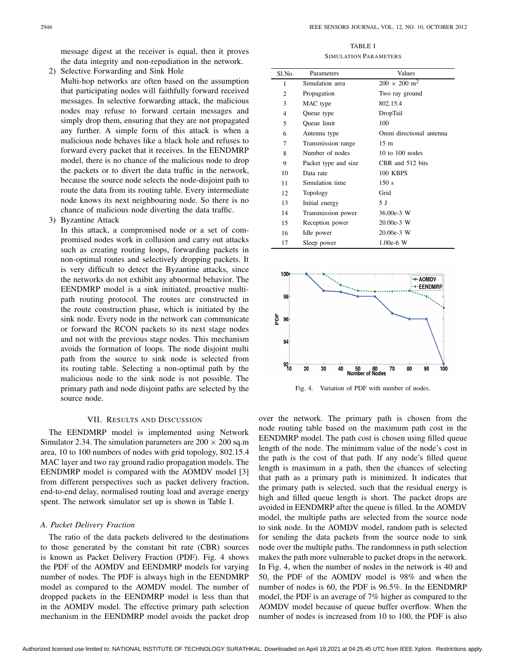message digest at the receiver is equal, then it proves the data integrity and non-repudiation in the network.

2) Selective Forwarding and Sink Hole

Multi-hop networks are often based on the assumption that participating nodes will faithfully forward received messages. In selective forwarding attack, the malicious nodes may refuse to forward certain messages and simply drop them, ensuring that they are not propagated any further. A simple form of this attack is when a malicious node behaves like a black hole and refuses to forward every packet that it receives. In the EENDMRP model, there is no chance of the malicious node to drop the packets or to divert the data traffic in the network, because the source node selects the node-disjoint path to route the data from its routing table. Every intermediate node knows its next neighbouring node. So there is no chance of malicious node diverting the data traffic.

3) Byzantine Attack

In this attack, a compromised node or a set of compromised nodes work in collusion and carry out attacks such as creating routing loops, forwarding packets in non-optimal routes and selectively dropping packets. It is very difficult to detect the Byzantine attacks, since the networks do not exhibit any abnormal behavior. The EENDMRP model is a sink initiated, proactive multipath routing protocol. The routes are constructed in the route construction phase, which is initiated by the sink node. Every node in the network can communicate or forward the RCON packets to its next stage nodes and not with the previous stage nodes. This mechanism avoids the formation of loops. The node disjoint multi path from the source to sink node is selected from its routing table. Selecting a non-optimal path by the malicious node to the sink node is not possible. The primary path and node disjoint paths are selected by the source node.

#### VII. RESULTS AND DISCUSSION

The EENDMRP model is implemented using Network Simulator 2.34. The simulation parameters are  $200 \times 200$  sq.m area, 10 to 100 numbers of nodes with grid topology, 802.15.4 MAC layer and two ray ground radio propagation models. The EENDMRP model is compared with the AOMDV model [3] from different perspectives such as packet delivery fraction, end-to-end delay, normalised routing load and average energy spent. The network simulator set up is shown in Table I.

## *A. Packet Delivery Fraction*

The ratio of the data packets delivered to the destinations to those generated by the constant bit rate (CBR) sources is known as Packet Delivery Fraction (PDF). Fig. 4 shows the PDF of the AOMDV and EENDMRP models for varying number of nodes. The PDF is always high in the EENDMRP model as compared to the AOMDV model. The number of dropped packets in the EENDMRP model is less than that in the AOMDV model. The effective primary path selection mechanism in the EENDMRP model avoids the packet drop

TABLE I SIMULATION PARAMETERS

| Sl.No | Parameters           | Values                       |
|-------|----------------------|------------------------------|
| 1     | Simulation area      | $200 \times 200 \text{ m}^2$ |
| 2     | Propagation          | Two ray ground               |
| 3     | MAC type             | 802.15.4                     |
| 4     | Queue type           | DropTail                     |
| 5     | <b>Oueue</b> limit   | 100                          |
| 6     | Antenna type         | Omni directional antenna     |
| 7     | Transmission range   | $15 \text{ m}$               |
| 8     | Number of nodes      | $10$ to $100$ nodes          |
| 9     | Packet type and size | CBR and 512 bits             |
| 10    | Data rate            | <b>100 KBPS</b>              |
| 11    | Simulation time      | 150s                         |
| 12    | Topology             | Grid                         |
| 13    | Initial energy       | 5 J                          |
| 14    | Transmission power   | 36.00e-3 W                   |
| 15    | Reception power      | 20.00e-3 W                   |
| 16    | Idle power           | 20.00e-3 W                   |
| 17    | Sleep power          | $1.00e-6$ W                  |
|       |                      |                              |





over the network. The primary path is chosen from the node routing table based on the maximum path cost in the EENDMRP model. The path cost is chosen using filled queue length of the node. The minimum value of the node's cost in the path is the cost of that path. If any node's filled queue length is maximum in a path, then the chances of selecting that path as a primary path is minimized. It indicates that the primary path is selected, such that the residual energy is high and filled queue length is short. The packet drops are avoided in EENDMRP after the queue is filled. In the AOMDV model, the multiple paths are selected from the source node to sink node. In the AOMDV model, random path is selected for sending the data packets from the source node to sink node over the multiple paths. The randomness in path selection makes the path more vulnerable to packet drops in the network. In Fig. 4, when the number of nodes in the network is 40 and 50, the PDF of the AOMDV model is 98% and when the number of nodes is 60, the PDF is 96.5%. In the EENDMRP model, the PDF is an average of 7% higher as compared to the AOMDV model because of queue buffer overflow. When the number of nodes is increased from 10 to 100, the PDF is also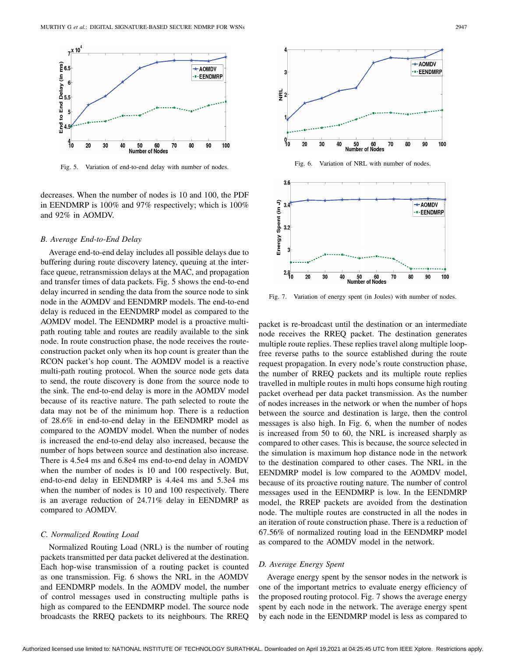

Fig. 5. Variation of end-to-end delay with number of nodes.

decreases. When the number of nodes is 10 and 100, the PDF in EENDMRP is 100% and 97% respectively; which is 100% and 92% in AOMDV.

## *B. Average End-to-End Delay*

Average end-to-end delay includes all possible delays due to buffering during route discovery latency, queuing at the interface queue, retransmission delays at the MAC, and propagation and transfer times of data packets. Fig. 5 shows the end-to-end delay incurred in sending the data from the source node to sink node in the AOMDV and EENDMRP models. The end-to-end delay is reduced in the EENDMRP model as compared to the AOMDV model. The EENDMRP model is a proactive multipath routing table and routes are readily available to the sink node. In route construction phase, the node receives the routeconstruction packet only when its hop count is greater than the RCON packet's hop count. The AOMDV model is a reactive multi-path routing protocol. When the source node gets data to send, the route discovery is done from the source node to the sink. The end-to-end delay is more in the AOMDV model because of its reactive nature. The path selected to route the data may not be of the minimum hop. There is a reduction of 28.6% in end-to-end delay in the EENDMRP model as compared to the AOMDV model. When the number of nodes is increased the end-to-end delay also increased, because the number of hops between source and destination also increase. There is 4.5e4 ms and 6.8e4 ms end-to-end delay in AOMDV when the number of nodes is 10 and 100 respectively. But, end-to-end delay in EENDMRP is 4.4e4 ms and 5.3e4 ms when the number of nodes is 10 and 100 respectively. There is an average reduction of 24.71% delay in EENDMRP as compared to AOMDV.

#### *C. Normalized Routing Load*

Normalized Routing Load (NRL) is the number of routing packets transmitted per data packet delivered at the destination. Each hop-wise transmission of a routing packet is counted as one transmission. Fig. 6 shows the NRL in the AOMDV and EENDMRP models. In the AOMDV model, the number of control messages used in constructing multiple paths is high as compared to the EENDMRP model. The source node broadcasts the RREQ packets to its neighbours. The RREQ



Fig. 7. Variation of energy spent (in Joules) with number of nodes.

packet is re-broadcast until the destination or an intermediate node receives the RREQ packet. The destination generates multiple route replies. These replies travel along multiple loopfree reverse paths to the source established during the route request propagation. In every node's route construction phase, the number of RREQ packets and its multiple route replies travelled in multiple routes in multi hops consume high routing packet overhead per data packet transmission. As the number of nodes increases in the network or when the number of hops between the source and destination is large, then the control messages is also high. In Fig. 6, when the number of nodes is increased from 50 to 60, the NRL is increased sharply as compared to other cases. This is because, the source selected in the simulation is maximum hop distance node in the network to the destination compared to other cases. The NRL in the EENDMRP model is low compared to the AOMDV model, because of its proactive routing nature. The number of control messages used in the EENDMRP is low. In the EENDMRP model, the RREP packets are avoided from the destination node. The multiple routes are constructed in all the nodes in an iteration of route construction phase. There is a reduction of 67.56% of normalized routing load in the EENDMRP model as compared to the AOMDV model in the network.

## *D. Average Energy Spent*

Average energy spent by the sensor nodes in the network is one of the important metrics to evaluate energy efficiency of the proposed routing protocol. Fig. 7 shows the average energy spent by each node in the network. The average energy spent by each node in the EENDMRP model is less as compared to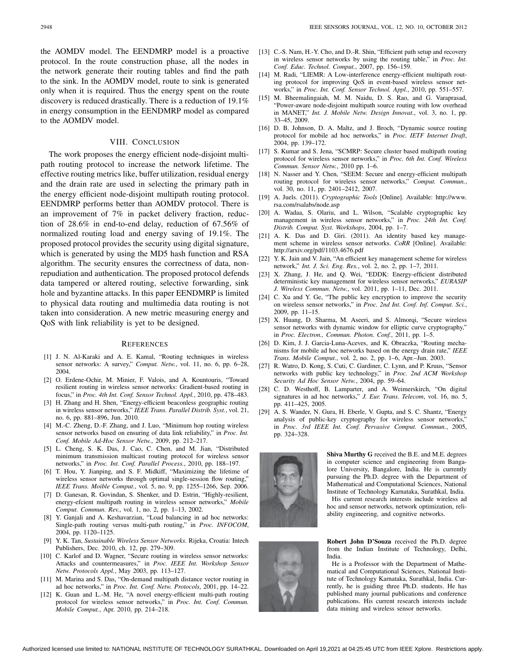the AOMDV model. The EENDMRP model is a proactive protocol. In the route construction phase, all the nodes in the network generate their routing tables and find the path to the sink. In the AOMDV model, route to sink is generated only when it is required. Thus the energy spent on the route discovery is reduced drastically. There is a reduction of 19.1% in energy consumption in the EENDMRP model as compared to the AOMDV model.

## VIII. CONCLUSION

The work proposes the energy efficient node-disjoint multipath routing protocol to increase the network lifetime. The effective routing metrics like, buffer utilization, residual energy and the drain rate are used in selecting the primary path in the energy efficient node-disjoint multipath routing protocol. EENDMRP performs better than AOMDV protocol. There is an improvement of 7% in packet delivery fraction, reduction of 28.6% in end-to-end delay, reduction of 67.56% of normalized routing load and energy saving of 19.1%. The proposed protocol provides the security using digital signature, which is generated by using the MD5 hash function and RSA algorithm. The security ensures the correctness of data, nonrepudiation and authentication. The proposed protocol defends data tampered or altered routing, selective forwarding, sink hole and byzantine attacks. In this paper EENDMRP is limited to physical data routing and multimedia data routing is not taken into consideration. A new metric measuring energy and QoS with link reliability is yet to be designed.

#### **REFERENCES**

- [1] J. N. Al-Karaki and A. E. Kamal, "Routing techniques in wireless sensor networks: A survey," *Comput. Netw.*, vol. 11, no. 6, pp. 6-28, 2004.
- [2] O. Erdene-Ochir, M. Minier, F. Valois, and A. Kountouris, "Toward resilient routing in wireless sensor networks: Gradient-based routing in focus," in *Proc. 4th Int. Conf. Sensor Technol. Appl.*, 2010, pp. 478–483.
- [3] H. Zhang and H. Shen, "Energy-efficient beaconless geographic routing in wireless sensor networks," *IEEE Trans. Parallel Distrib. Syst.*, vol. 21, no. 6, pp. 881–896, Jun. 2010.
- [4] M.-C. Zheng, D.-F. Zhang, and J. Luo, "Minimum hop routing wireless sensor networks based on ensuring of data link reliability," in *Proc. Int. Conf. Mobile Ad-Hoc Sensor Netw.*, 2009, pp. 212–217.
- [5] L. Cheng, S. K. Das, J. Cao, C. Chen, and M. Jian, "Distributed minimum transmission multicast routing protocol for wireless sensor networks," in *Proc. Int. Conf. Parallel Process.*, 2010, pp. 188–197.
- [6] T. Hou, Y. Jianping, and S. F. Midkiff, "Maximizing the lifetime of wireless sensor networks through optimal single-session flow routing," *IEEE Trans. Moible Comput.*, vol. 5, no. 9, pp. 1255–1266, Sep. 2006.
- [7] D. Ganesan, R. Govindan, S. Shenker, and D. Estrin, "Highly-resilient, energy-efcient multipath routing in wireless sensor networks," *Mobile Comput. Commun. Rev.*, vol. 1, no. 2, pp. 1–13, 2002.
- [8] Y. Ganjali and A. Keshavarzian, "Load balancing in ad hoc networks: Single-path routing versus multi-path routing," in *Proc. INFOCOM*, 2004, pp. 1120–1125.
- [9] Y. K. Tan, *Sustainable Wireless Sensor Networks*. Rijeka, Croatia: Intech Publishers, Dec. 2010, ch. 12, pp. 279–309.
- [10] C. Karlof and D. Wagner, "Secure routing in wireless sensor networks: Attacks and countermeasures," in *Proc. IEEE Int. Workshop Sensor Netw. Protocols Appl.*, May 2003, pp. 113–127.
- [11] M. Marina and S. Das, "On-demand multipath distance vector routing in ad hoc networks," in *Proc. Int. Conf. Netw. Protocols*, 2001, pp. 14–22.
- [12] K. Guan and L.-M. He, "A novel energy-efficient multi-path routing protocol for wireless sensor networks," in *Proc. Int. Conf. Commun. Mobile Comput.*, Apr. 2010, pp. 214–218.
- [13] C.-S. Nam, H.-Y. Cho, and D.-R. Shin, "Efficient path setup and recovery in wireless sensor networks by using the routing table," in *Proc. Int. Conf. Educ. Technol. Comput.*, 2007, pp. 156–159.
- [14] M. Radi, "LIEMR: A Low-interference energy-efficient multipath routing protocol for improving QoS in event-based wireless sensor networks," in *Proc. Int. Conf. Sensor Technol. Appl.*, 2010, pp. 551–557.
- [15] M. Bheemalingaiah, M. M. Naidu, D. S. Rao, and G. Varaprasad, "Power-aware node-disjoint multipath source routing with low overhead in MANET," *Int. J. Mobile Netw. Design Innovat.*, vol. 3, no. 1, pp. 33–45, 2009.
- [16] D. B. Johnson, D. A. Maltz, and J. Broch, "Dynamic source routing protocol for mobile ad hoc networks," in *Proc. IETF Internet Draft*, 2004, pp. 139–172.
- [17] S. Kumar and S. Jena, "SCMRP: Secure cluster based multipath routing protocol for wireless sensor networks," in *Proc. 6th Int. Conf. Wireless Commun. Sensor Netw.*, 2010 pp. 1–6.
- [18] N. Nasser and Y. Chen, "SEEM: Secure and energy-efficient multipath routing protocol for wireless sensor networks," *Comput. Commun.*, vol. 30, no. 11, pp. 2401–2412, 2007.
- [19] A. Juels. (2011). *Cryptographic Tools* [Online]. Available: http://www. rsa.com/rsalabs/node.asp
- [20] A. Wadaa, S. Olariu, and L. Wilson, "Scalable cryptographic key management in wireless sensor networks," in *Proc. 24th Int. Conf. Distrib. Comput. Syst. Workshops*, 2004, pp. 1–7.
- [21] A. K. Das and D. Giri. (2011). An identity based key management scheme in wireless sensor networks. *CoRR* [Online]. Available: http://arxiv.org/pdf/1103.4676.pdf
- [22] Y. K. Jain and V. Jain, "An efficient key management scheme for wireless network," *Int. J. Sci. Eng. Res.*, vol. 2, no. 2, pp. 1–7, 2011.
- [23] X. Zhang, J. He, and Q. Wei, "EDDK: Energy-efficient distributed deterministic key management for wireless sensor networks," *EURASIP J. Wireless Commun. Netw.*, vol. 2011, pp. 1–11, Dec. 2011.
- [24] C. Xu and Y. Ge, "The public key encryption to improve the security on wireless sensor networks," in *Proc. 2nd Int. Conf. Inf. Comput. Sci.*, 2009, pp. 11–15.
- [25] X. Huang, D. Sharma, M. Aseeri, and S. Almorqi, "Secure wireless sensor networks with dynamic window for elliptic curve cryptography," in *Proc. Electron., Commun. Photon. Conf.*, 2011, pp. 1–5.
- [26] D. Kim, J. J. Garcia-Luna-Aceves, and K. Obraczka, "Routing mechanisms for mobile ad hoc networks based on the energy drain rate," *IEEE Trans. Mobile Comput.*, vol. 2, no. 2, pp. 1–6, Apr.–Jun. 2003.
- [27] R. Watro, D. Kong, S. Cuti, C. Gardiner, C. Lynn, and P. Kruus, "Sensor networks with public key technology," in *Proc. 2nd ACM Workshop Security Ad Hoc Sensor Netw.*, 2004, pp. 59–64.
- [28] C. D. Westhoff, B. Lamparter, and A. Weimerskirch, "On digital signatures in ad hoc networks," *J. Eur. Trans. Telecom*, vol. 16, no. 5, pp. 411–425, 2005.
- [29] A. S. Wander, N. Gura, H. Eberle, V. Gupta, and S. C. Shantz, "Energy analysis of public-key cryptography for wireless sensor networks, in *Proc. 3rd IEEE Int. Conf. Pervasive Comput. Commun.*, 2005, pp. 324–328.



**Shiva Murthy G** received the B.E. and M.E. degrees in computer science and engineering from Bangalore University, Bangalore, India. He is currently pursuing the Ph.D. degree with the Department of Mathematical and Computational Sciences, National Institute of Technology Karnataka, Surathkal, India. His current research interests include wireless ad

hoc and sensor networks, network optimization, reliability engineering, and cognitive networks.

**Robert John D'Souza** received the Ph.D. degree from the Indian Institute of Technology, Delhi, India.

He is a Professor with the Department of Mathematical and Computational Sciences, National Institute of Technology Karnataka, Surathkal, India. Currently, he is guiding three Ph.D. students. He has published many journal publications and conference publications. His current research interests include data mining and wireless sensor networks.